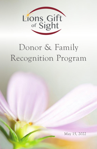

# Donor & Family Recognition Program

May 15, 2022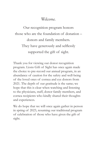*Welcome.*

Our recognition program honors those who are the foundation of donation – donors and family members. They have generously and selflessly supported the gift of sight.

Thank you for viewing our donor recognition program. Lions Gift of Sight has once again made the choice to pre-record our annual program, in an abundance of caution for the safety and well-being of the loved ones of cornea and eye donors from 2021. The depth of our gratitude is the same; we hope that this is clear when watching and listening to the physicians, staff, donor family members, and cornea recipients who kindly shared their thoughts and experiences.

We do hope that we will once again gather in person in spring of 2023, resuming our traditional program of celebration of those who have given the gift of sight.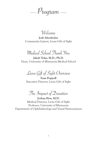—  $P_{\textit{rogram}}$  —

Welcome

Jodi Altenhofen Community Liaison, Lions Gift of Sight

Medical School Thank You

Jakub Tolar, M.D., Ph.D. Dean, University of Minnesota Medical School

Lions Gift of Sight Overview

Sean Poppoff Executive Director, Lions Gift of Sight

The Impact of Donation

Joshua Hou, M.D. Medical Director, Lions Gift of Sight Professor, University of Minnesota Department of Ophthalmology and Visual Neurosciences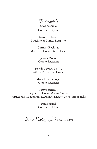Testimonials

Mark Kelliher Cornea Recipient

Nicole Gillespie Daughter of Cornea Recipient

Corinne Rockstad Mother of Donor Liz Rockstad

> Jessica Moore Cornea Recipient

Ronda Gowan, L.S.W. Wife of Donor Dan Gowan

> Maria Huerta Lopez Cornea Recipient

Patty Stockdale Daughter of Donor Monna Monson Partner and Community Relations Manager, Lions Gift of Sight

> Pam Solstad Cornea Recipient

Donor Photograph Presentation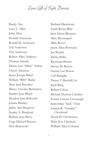## Lions Gift of Sight Donors

Randy Aho Gary L. Allen John Allen Donald Amerman Ronald M. Anderson Ted Anderson Tim Anderson Robert Allen Andrews Thomas Arends Debra Ann "Mimi" Arthur Cheryl Atkinson James Joseph Babel William "Billy" Bader Mary Jane Baechler Marco Antonio Barrientos Marilyn Jean Beach Meadow Jane Bellovich Joanne Bentley Jackie Ann Bergeron Stanley A. Berglund Barbara Jean Berry Gage Michael Beumer Don Binkowski

Barbara Blackstone Linda Renee Blair Jane Eileen Blomme Marc Bloomquist Mike Bovee Jason Allen Bowman Jan Brandt Debra Brihn Raymond Brown Steven M. Bruess Garren Lee Brusse Carl Buraglio Duane T. Burchill, Sr. Kjell Burg Robert Calvin Richard Thomas Carraher Eunice Gatons Cavanaugh Jackcomen "Jack" Chan Francis R. "Frenchy" Chouinard David D. Christenson Dixie Kay Claymore William Allen Colonna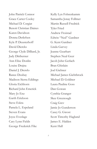John Patrick Connor Grace Carter Cooley Michael D. Corgiat Benoit Christian Daines Karen Davidson Donna Detlefsen Kyle P. Deusterhoff David Diercks George Clyde Dilliard, Jr. Judy Dittberner Ann Elise Donlin Louise Drajna Daniel J. Drewlo Ranee Dzubay Madison Sierra Eddings Gloria Eichhorn Richard John Emerick Mary Jo Enz Garth Erickson Steve Eskra Pamela L. Espeland Steven Evans Joyce Eveslage Cary Lynn Fields George Frederick Fike

Kelly Lyn Fohrenkamm Samantha Jonay Follmer Martin Russell Fredrick Tyler Fried Andrew Froistad Edwin "Ned" Gardner G. Kent Gardner Linda Garvey Jeanne Gearhart Stephen Neal Geer Jacob John Gerlach Bran Ghislain Joel Giebner Michael James Giehtbrock Michael D. Goldner Laura Pauline Goss Dan Gowan Cynthia Granger Skee Greenough Craig Grev Jamie Jo Gunderson Casey G. Gwost Scott Timothy Haglund James E. Halden Kent Hall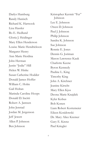Darlys Hamburg Randy Hanisch Richard K. Hartsook Liza Hassler Bo E. Hedlund Gloria J. Heidinger Mary Ellen Henderson Louise Marie Hendrickson Margaret Henry Ann Marie Herdina John Herman Justin "Jodie" Hill Helen W. Hinke Susan Catherine Hodder Donald James Hoffer William C. Holm Gail Holtan Marinda Caroline Hoops Donald D. Incitti Robert A. Jantzen John Jenstad Jordan M. Jergenson Jeff Jewett Allen P. Johnson Ben Johnson

Kristopher Kermit "Fer" Johnson Lee E. Johnson Owen D. Johnson Paul J. Johnson Philip Johnson Sandra K. Johnson Sue Johnson Ronnie E. Jones Dennis G. Joriman Mason Lawrence Kauk Charlotte Keene Byron Kennedy Pauline L. King Timothy King John A. Kirchner Jeanine Kirscht Mary Ellen Kjos Deona Marie Knajdek Kyler Kobus Bob Konen Liam Robert Kortemeier Eileen Kosidowski Dr. Mary Alice Kremer Gary E. Krenz Paul Kriegler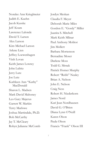Noralee Ann Krieglmeier Judith E. Kuehn Jacob Kusske Jeff Kvam Lawrence Lalonde David T. Larsen Alex Larson Kim Michael Larson Arlene Lien Jeffrey Loewenhagen Vinh Lovan Keith James Lowrey John Lubitz Jerry Lutz Joe Lutz Kathleen Ann "Kathy" MacDonald Sharon L. Madsen Mark David Mahoney Leo Gary Majerus Garrett W. Markin Terry Marlowe Joshua Martindale, Ph.D. Bob McCarthy Jay T. McCleary Robyn Julianne McComb Jordyn Meskan Claudia F. Meyer Deborah Marie Miles Gordon E. "Gordy" Miller Juanita S. Mitchell Mark Keith Mlinar Paul Anthony Molitor Jim Mollert Barbara Mortenson Bernadine Moser Darlene Moss Todd G. Mrnak Patrick Homer Murphy Robert "Robb" Nealey Brian A. Nelson John E. Nelson Craig Ness Robert H. Niederkorn James Nord Kari Jean Nordhausen David G. O'Brien Diana Lynn O'Neill Karen Olson Paula Olson Francis "Frank" Olson III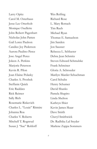Larry Opitz Carol M. Osterhaus Jesse Lee Otterholt Monique Ouellette John Robert Pagenhart Nicholas John Patten Gail Loree Paulson Candice Joy Pederson Aurora Paulino Perez Jose Angel Perez Joleen A. Perkins Marjorie Peterson Kevin R. Pilon Joan Elaine Polasky Charles A. Proshek Steffanie Quick Eric Raddatz Rick Reimer Sally Rich Rosemarie Riskevich Charles L. "Louie" Ritmire Johanna Roa Charles V. Roberts Mitchell T. Rognrud Susan J. "Sue" Rohloff

Wes Rolfing Richard Rose L. Mary Rottach Tim Rueb Michael Ryan Thomas E. Samuelson Jim Sanden Jon Sausser Rebecca L. Schlueter Debra Jean Schmitz Steven Edward Schmulske Frank Schreiner Gloria A. Schroeder Marilyn Marder Schuchman Carol Schultz Henry Schumer David Shanks Pamela Shapiro Linda Shelton Kathryn Shier Kevin James Skaar Dave Smith Cheryl Smithwick Dr. Radhika Lal Snyder Marlene Zappa Sommers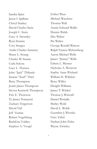Sandra Spier Jason I. Spillum Cheryl Starkey David Charles Stein Joseph C. Stein Gary A. Stromley Ryan Stumm Cory Sturges Andre Charles Summey Shane L. Swang Charles W. Swann Carla Sykora Gary L. Theisen John "Jack" Thibault Imants "Karl" Thiel Betty Thompson Justin James Thompson Steven Kenneth Thompson Eric E. Thoreson Ty James Tomasetti Zachary Torgerson David Vail Jeff Vastine Robert Vogelsberg RuthEtta Volden Stephen A. Voogd

Esther Waas Michael Waechter Thomas Wall Austin Edward Wallis Dennis Walsh Dee Walter Pat Walter George Ronald Watson Ralph Francis Wehrenberg Aaron Michael Welle James "Jimmy" Wells Edwin L. Werner Nicholas A. Westcott Sophie Anne Wieland William H. Wilfahrt Betsy Wilfer Dwight Williams James T. Winkel Thomas J. Witcraft Daniel Woitalla Shirley Wold David L. Woldt Guenther J. Wronka Gary Zabel Nathan John Zieba Wayne Zwickey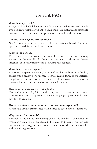## **Eye Bank FAQ's**

#### **What is an eye bank?**

An eye bank is the link between people who donate their eyes and people who help restore sight. Eye banks obtain, medically evaluate, and distribute eyes and corneas for use in transplantation, research, and education.

#### **Can the whole eye be transplanted?**

No. At this time, only the cornea or sclera can be transplanted. The entire eye can be used for research and education.

#### **What is the cornea?**

The cornea is the clear tissue in the front of the eye. It is the main focusing element of the eye. Should the cornea become cloudy from disease, infection, or injury, vision would be dramatically reduced.

#### **What is a cornea transplant?**

A cornea transplant is the surgical procedure that replaces an unhealthy cornea with a healthy donor cornea. Corneas can be damaged by: bacterial, fungal, or viral infections; by inherited and degenerative diseases; or by chemical burns, scratches, and other traumatic injuries.

#### **How common are cornea transplants?**

Nationwide, nearly 50,000 corneal transplants are performed each year. Corneas have been transplanted to patients ranging in age from only a few days to 103 years old.

#### **How soon after a donation must a cornea be transplanted?**

A cornea is usually transplanted within three to seven days of donation.

#### **Why donate for research?**

Research is the key to eliminating worldwide blindness. Hundreds of researchers use donated eye tissue in the quest to prevent, treat, or cure eye diseases such as glaucoma, macular degeneration, diabetic retinopathy, and retinitis pigmentosa.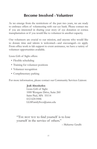## **Become Involved - Volunteer**

As we emerge from the restrictions of the past two years, we are ready to embrace offers of volunteering with our eye bank. Please contact me if you are interested in sharing your story of eye donation or cornea transplantation or if you would like to volunteer in another capacity.

Our volunteers are crucial to our mission, and anyone who would like to donate time and talents is welcomed—and encouraged—to apply. From office work to lab support to event assistance, we have a variety of volunteer opportunities available.

Lions Gift of Sight offers:

- Flexible scheduling
- Training for volunteer positions
- Volunteer recognition
- Complimentary parking

For more information, please contact our Community Services Liaison:

#### **Jodi Altenhofen**

Lions Gift of Sight 1000 Westgate Drive, Suite 260 Saint Paul, MN 55114 612-624-0446 LGSFamilySvcs@umn.edu

"THE BEST WAY to find yourself is to lose yourself in the service of others."

*— Mahatma Gandhi*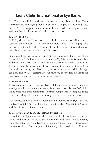## **Lions Clubs International & Eye Banks**

In 1925, Helen Keller addressed the service organization Lions Clubs International, challenging Lions to become "Knights of the Blind" (see page 18). Lions responded enthusiastically and made restoring vision and assisting the visually-impaired their primary mission.

#### **Lions Gift of Sight**

In 1960, Minnesota Lions partnered with the University of Minnesota to establish the Minnesota Lions Eye Bank (now Lions Gift of Sight). This historic event marked the creation of the first human tissue donation organization and only eye bank in Minnesota.

Since founding, thanks to the generosity of donors and family members, Lions Gift of Sight has provided more than 36,000 corneas for transplant and more than 38,000 eyes or corneas for research and medical education. The eye bank also distributes donated sclera (the white of the eye) for restorative eye surgeries. Every day, we strive to restore sight through eye donation. We are dedicated to our mission, knowledgeable about our profession, and expert in the services we provide.

#### **Minnesota Lions**

There are more than 1.4 million Lions clubs members around the globe serving together to better the world. Minnesota alone boasts 543 clubs! Lions clubs help their communities by improving parks, keeping roadsides clean, providing scholarships, honoring veterans, and so much more.

Our Minnesota Lions not only helped found Lions Gift of Sight, but also the Lions Children's Eye Clinic, the Lions Macular Degeneration Center, and the Lions Eye Surgery Center.

#### **Lions Eye Banks & the Barcelona Principles**

Lions Gift of Sight was founded as an eye bank firmly rooted in the Lions' tradition of service to the community and dedication to helping the sight-impaired. As a Lions eye bank, we must follow Lions Clubs International Eye Bank Program Guidelines, adhere to the Lions Code of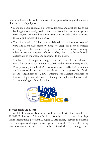Ethics, and subscribe to the Barcelona Principles. What might that mean? Here are a few highlights.

- Lions eye banks encourage, promote, improve, and establish Lions eye banking internationally, so that quality eye tissue for corneal transplants, research, and other medical purposes may be provided. They publicize the role and service of eye banks.
- The Lions Code of Ethics was established from a business point of view, and Lions club members pledge to accept no profit or success at the price of their own self-respect lost because of unfair advantage taken or because of questionable acts. They give sympathy to those in distress, aid to the weak, and substance to the needy.
- The Barcelona Principles are an agreement on the use of human donated tissue for ocular transplantation, research, and future technologies. The Principles are put out by the Global Alliance of Eye Bank Associations, an internationally-recognized association that supports the World Health Organization's (WHO) Initiative for Medical Products of Human Origin, and the WHO Guiding Principles on Human Cell, Tissue and Organ Transplantation.



#### **Service from the Heart**

Lions Clubs International chose Service from the Heart as the theme for the 2021-2022 Lions year. A beautiful choice for this service organization:. Says Lions International president, Douglas X. Alexander, "Service to others is the rent we pay for the space we occupy here on earth." The world is facing many challenges, and great things can be achieved when we join together.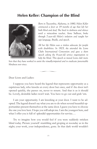### **Helen Keller: Champion of the Blind**



*Born in Tuscumbia, Alabama, in 1880, Helen Keller contracted a fever at 19 months of age that left her both blind and deaf. She lived in darkness and silence until a miraculous teacher, Anne Sullivan, broke through 7-year-old Helen's isolation and taught her sign language, Braille, and speech.* 

*All her life Helen was a tireless advocate for people with disabilities. In 1925, she attended the Lions Clubs International Convention and gave a short speech asking the 8-year-old service organization to help the blind. This speech so moved Lions club mem-*

*bers that they have worked to assist the visually-impaired and to eradicate preventable blindness ever since.* 

 $\sqrt{1-\frac{1}{2}}$ 

Dear Lions and Ladies:

I suppose you have heard the legend that represents opportunity as a capricious lady, who knocks at every door but once, and if the door isn't opened quickly, she passes on, never to return. And that is as it should be. Lovely, desirable ladies won't wait. You have to go out and grab 'em.

I am your opportunity. I am knocking at your door. I want to be adopted. The legend doesn't say what you are to do when several beautiful opportunities present themselves at the same door. I guess you have to choose the one you love best. I hope you will adopt me. I am the youngest here, and what I offer you is full of splendid opportunities for service....

Try to imagine how you would feel if you were suddenly stricken blind today. Picture yourself stumbling and groping at noonday as in the night; your work, your independence, gone. In that dark world wouldn't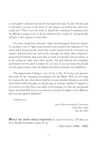you be glad if a friend took you by the hand and said, "Come with me and I will teach you how to do some of the things you used to do when you could see"? That is just the kind of friend the American Foundation [for the Blind] is going to be to all the blind in this country if seeing people will give it the support it must have.

You have heard how through a little word dropped from the fingers of another, a ray of light from another soul touched the darkness of my mind and I found myself, found the world, found God. It is because my teacher learned about me and broke through the dark, silent imprisonment which held me that I am able to work for myself and for others. It is the caring we want more than money. The gift without the sympathy and interest of the giver is empty. If you care, if we can make the people of this great country care, the blind will indeed triumph over blindness.

The opportunity I bring to you, Lions, is this: To foster and sponsor the work of the American Foundation for the Blind. Will you not help me hasten the day when there shall be no preventable blindness; no little deaf, blind child untaught; no blind man or woman unaided? I appeal to you Lions, you who have your sight, your hearing, you who are strong and brave and kind. Will you not constitute yourselves Knights of the Blind in this crusade against darkness?

I thank you.

*Lions Clubs International Convention Cedar Point, Ohio June 30, 1925*

**What we have once enjoyed** we can never lose. All that we love deeply becomes a part of us.

*— Helen Keller (1880* - *1968)*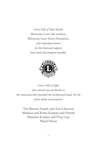*Lions Gift of Sight thanks Minnesota Lions club members, Minnesota Lions Vision Foundation, and individual donors for the financial support that made this program possible.*



*Lions Gift of Sight also extends special thanks to the musicians who provided the background music for the donor photo presentation:*

The Barnett Family and Yuri Liberzon Madison and Kirby Karpan and Friends Maureen Karpan and Frog Legs Maud Hixon